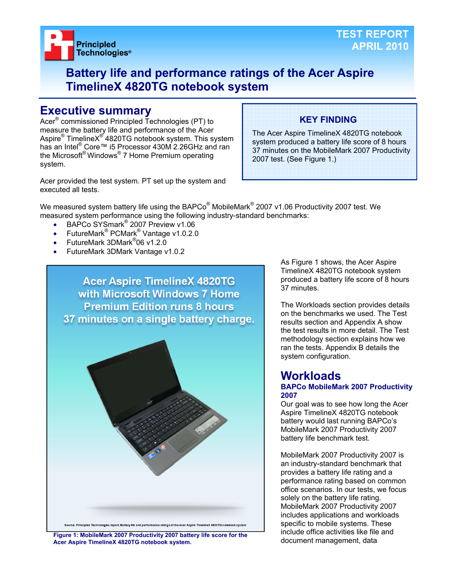

## **Battery life and performance ratings of the Acer Aspire TimelineX 4820TG notebook system**

## **Executive summary**

Acer® commissioned Principled Technologies (PT) to measure the battery life and performance of the Acer Aspire® TimelineX<sup>®</sup> 4820TG notebook system. This system has an Intel<sup>®</sup> Core™ i5 Processor 430M 2.26GHz and ran the Microsoft® Windows® 7 Home Premium operating system.

Acer provided the test system. PT set up the system and executed all tests.

## **KEY FINDING**

The Acer Aspire TimelineX 4820TG notebook system produced a battery life score of 8 hours 37 minutes on the MobileMark 2007 Productivity 2007 test. (See Figure 1.)

We measured system battery life using the BAPCo $^{\circledast}$  MobileMark $^{\circledast}$  2007 v1.06 Productivity 2007 test. We measured system performance using the following industry-standard benchmarks:

- BAPCo SYSmark<sup>®</sup> 2007 Preview v1.06
- FutureMark<sup>®</sup> PCMark<sup>®</sup> Vantage v1.0.2.0
- FutureMark 3DMark<sup>®</sup>06 v1.2.0
- FutureMark 3DMark Vantage v1.0.2



document management, data **Figure 1: MobileMark 2007 Productivity 2007 battery life score for the Acer Aspire TimelineX 4820TG notebook system.** 

As Figure 1 shows, the Acer Aspire TimelineX 4820TG notebook system produced a battery life score of 8 hours 37 minutes.

The Workloads section provides details on the benchmarks we used. The Test results section and Appendix A show the test results in more detail. The Test methodology section explains how we ran the tests. Appendix B details the system configuration.

## **Workloads**

#### **BAPCo MobileMark 2007 Productivity 2007**

Our goal was to see how long the Acer Aspire TimelineX 4820TG notebook battery would last running BAPCo's MobileMark 2007 Productivity 2007 battery life benchmark test.

MobileMark 2007 Productivity 2007 is an industry-standard benchmark that provides a battery life rating and a performance rating based on common office scenarios. In our tests, we focus solely on the battery life rating. MobileMark 2007 Productivity 2007 includes applications and workloads specific to mobile systems. These include office activities like file and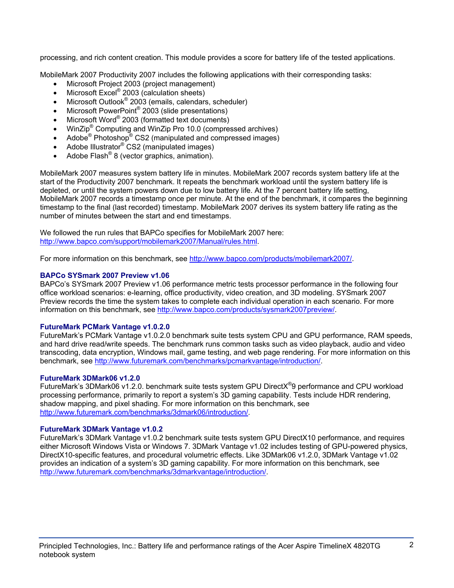processing, and rich content creation. This module provides a score for battery life of the tested applications.

MobileMark 2007 Productivity 2007 includes the following applications with their corresponding tasks:

- Microsoft Project 2003 (project management)
- $\bullet$  Microsoft Excel® 2003 (calculation sheets)
- Microsoft Outlook<sup>®</sup> 2003 (emails, calendars, scheduler)
- Microsoft PowerPoint<sup>®</sup> 2003 (slide presentations)
- Microsoft Word® 2003 (formatted text documents)
- WinZip<sup>®</sup> Computing and WinZip Pro 10.0 (compressed archives)
- Adobe<sup>®</sup> Photoshop<sup>®</sup> CS2 (manipulated and compressed images)
- Adobe Illustrator<sup>®</sup> CS2 (manipulated images)
- Adobe Flash<sup>®</sup> 8 (vector graphics, animation).

MobileMark 2007 measures system battery life in minutes. MobileMark 2007 records system battery life at the start of the Productivity 2007 benchmark. It repeats the benchmark workload until the system battery life is depleted, or until the system powers down due to low battery life. At the 7 percent battery life setting, MobileMark 2007 records a timestamp once per minute. At the end of the benchmark, it compares the beginning timestamp to the final (last recorded) timestamp. MobileMark 2007 derives its system battery life rating as the number of minutes between the start and end timestamps.

We followed the run rules that BAPCo specifies for MobileMark 2007 here: http://www.bapco.com/support/mobilemark2007/Manual/rules.html.

For more information on this benchmark, see http://www.bapco.com/products/mobilemark2007/.

## **BAPCo SYSmark 2007 Preview v1.06**

BAPCo's SYSmark 2007 Preview v1.06 performance metric tests processor performance in the following four office workload scenarios: e-learning, office productivity, video creation, and 3D modeling. SYSmark 2007 Preview records the time the system takes to complete each individual operation in each scenario. For more information on this benchmark, see http://www.bapco.com/products/sysmark2007preview/.

## **FutureMark PCMark Vantage v1.0.2.0**

FutureMark's PCMark Vantage v1.0.2.0 benchmark suite tests system CPU and GPU performance, RAM speeds, and hard drive read/write speeds. The benchmark runs common tasks such as video playback, audio and video transcoding, data encryption, Windows mail, game testing, and web page rendering. For more information on this benchmark, see http://www.futuremark.com/benchmarks/pcmarkvantage/introduction/.

## **FutureMark 3DMark06 v1.2.0**

FutureMark's 3DMark06 v1.2.0. benchmark suite tests system GPU DirectX<sup>®</sup>9 performance and CPU workload processing performance, primarily to report a system's 3D gaming capability. Tests include HDR rendering, shadow mapping, and pixel shading. For more information on this benchmark, see http://www.futuremark.com/benchmarks/3dmark06/introduction/.

## **FutureMark 3DMark Vantage v1.0.2**

FutureMark's 3DMark Vantage v1.0.2 benchmark suite tests system GPU DirectX10 performance, and requires either Microsoft Windows Vista or Windows 7. 3DMark Vantage v1.02 includes testing of GPU-powered physics, DirectX10-specific features, and procedural volumetric effects. Like 3DMark06 v1.2.0, 3DMark Vantage v1.02 provides an indication of a system's 3D gaming capability. For more information on this benchmark, see http://www.futuremark.com/benchmarks/3dmarkvantage/introduction/.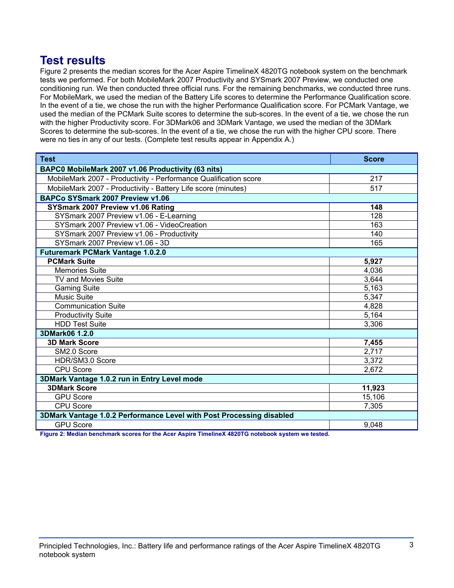## **Test results**

Figure 2 presents the median scores for the Acer Aspire TimelineX 4820TG notebook system on the benchmark tests we performed. For both MobileMark 2007 Productivity and SYSmark 2007 Preview, we conducted one conditioning run. We then conducted three official runs. For the remaining benchmarks, we conducted three runs. For MobileMark, we used the median of the Battery Life scores to determine the Performance Qualification score. In the event of a tie, we chose the run with the higher Performance Qualification score. For PCMark Vantage, we used the median of the PCMark Suite scores to determine the sub-scores. In the event of a tie, we chose the run with the higher Productivity score. For 3DMark06 and 3DMark Vantage, we used the median of the 3DMark Scores to determine the sub-scores. In the event of a tie, we chose the run with the higher CPU score. There were no ties in any of our tests. (Complete test results appear in Appendix A.)

| <b>Test</b>                                                          | <b>Score</b> |  |
|----------------------------------------------------------------------|--------------|--|
| BAPC0 MobileMark 2007 v1.06 Productivity (63 nits)                   |              |  |
| MobileMark 2007 - Productivity - Performance Qualification score     | 217          |  |
| MobileMark 2007 - Productivity - Battery Life score (minutes)        | 517          |  |
| BAPCo SYSmark 2007 Preview v1.06                                     |              |  |
| SYSmark 2007 Preview v1.06 Rating                                    | 148          |  |
| SYSmark 2007 Preview v1.06 - E-Learning                              | 128          |  |
| SYSmark 2007 Preview v1.06 - VideoCreation                           | 163          |  |
| SYSmark 2007 Preview v1.06 - Productivity                            | 140          |  |
| SYSmark 2007 Preview v1.06 - 3D                                      | 165          |  |
| <b>Futuremark PCMark Vantage 1.0.2.0</b>                             |              |  |
| <b>PCMark Suite</b>                                                  | 5,927        |  |
| <b>Memories Suite</b>                                                | 4,036        |  |
| TV and Movies Suite                                                  | 3,644        |  |
| <b>Gaming Suite</b>                                                  | 5,163        |  |
| <b>Music Suite</b>                                                   | 5,347        |  |
| <b>Communication Suite</b>                                           | 4,828        |  |
| <b>Productivity Suite</b>                                            | 5,164        |  |
| <b>HDD Test Suite</b>                                                | 3,306        |  |
| 3DMark06 1.2.0                                                       |              |  |
| <b>3D Mark Score</b>                                                 | 7,455        |  |
| SM2.0 Score                                                          | 2,717        |  |
| HDR/SM3.0 Score                                                      | 3,372        |  |
| <b>CPU Score</b>                                                     | 2,672        |  |
| 3DMark Vantage 1.0.2 run in Entry Level mode                         |              |  |
| <b>3DMark Score</b>                                                  | 11,923       |  |
| <b>GPU Score</b>                                                     | 15,106       |  |
| <b>CPU Score</b>                                                     | 7,305        |  |
| 3DMark Vantage 1.0.2 Performance Level with Post Processing disabled |              |  |
| <b>GPU Score</b>                                                     | 9,048        |  |

**Figure 2: Median benchmark scores for the Acer Aspire TimelineX 4820TG notebook system we tested.**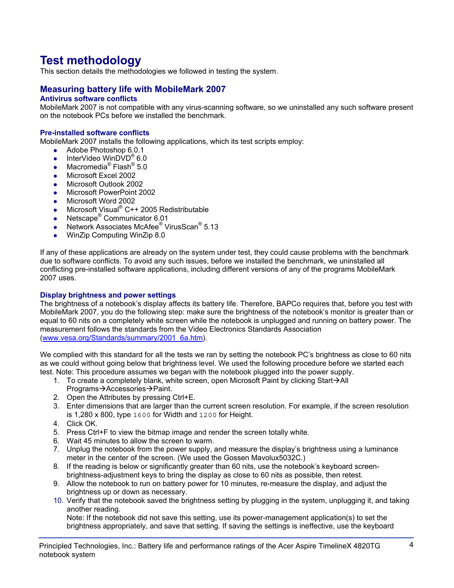# **Test methodology**

This section details the methodologies we followed in testing the system.

## **Measuring battery life with MobileMark 2007**

## **Antivirus software conflicts**

MobileMark 2007 is not compatible with any virus-scanning software, so we uninstalled any such software present on the notebook PCs before we installed the benchmark.

#### **Pre-installed software conflicts**

MobileMark 2007 installs the following applications, which its test scripts employ:

- $\bullet$  Adobe Photoshop 6.0.1
- InterVideo WinDVD<sup>®</sup> 6.0
- Macromedia<sup>®</sup> Flash<sup>®</sup> 5.0
- Microsoft Excel 2002
- Microsoft Outlook 2002
- Microsoft PowerPoint 2002
- Microsoft Word 2002
- Microsoft Visual® C++ 2005 Redistributable
- Netscape<sup>®</sup> Communicator 6.01
- Network Associates McAfee<sup>®</sup> VirusScan<sup>®</sup> 5.13
- WinZip Computing WinZip 8.0

If any of these applications are already on the system under test, they could cause problems with the benchmark due to software conflicts. To avoid any such issues, before we installed the benchmark, we uninstalled all conflicting pre-installed software applications, including different versions of any of the programs MobileMark 2007 uses.

#### **Display brightness and power settings**

The brightness of a notebook's display affects its battery life. Therefore, BAPCo requires that, before you test with MobileMark 2007, you do the following step: make sure the brightness of the notebook's monitor is greater than or equal to 60 nits on a completely white screen while the notebook is unplugged and running on battery power. The measurement follows the standards from the Video Electronics Standards Association (www.vesa.org/Standards/summary/2001\_6a.htm).

We complied with this standard for all the tests we ran by setting the notebook PC's brightness as close to 60 nits as we could without going below that brightness level. We used the following procedure before we started each test. Note: This procedure assumes we began with the notebook plugged into the power supply.

- 1. To create a completely blank, white screen, open Microsoft Paint by clicking Start $\rightarrow$ All Programs→Accessories→Paint.
- 2. Open the Attributes by pressing Ctrl+E.
- 3. Enter dimensions that are larger than the current screen resolution. For example, if the screen resolution is 1,280 x 800, type 1600 for Width and 1200 for Height.
- 4. Click OK.
- 5. Press Ctrl+F to view the bitmap image and render the screen totally white.
- 6. Wait 45 minutes to allow the screen to warm.
- 7. Unplug the notebook from the power supply, and measure the display's brightness using a luminance meter in the center of the screen. (We used the Gossen Mavolux5032C.)
- 8. If the reading is below or significantly greater than 60 nits, use the notebook's keyboard screenbrightness-adjustment keys to bring the display as close to 60 nits as possible, then retest.
- 9. Allow the notebook to run on battery power for 10 minutes, re-measure the display, and adjust the brightness up or down as necessary.
- 10. Verify that the notebook saved the brightness setting by plugging in the system, unplugging it, and taking another reading.

Note: If the notebook did not save this setting, use its power-management application(s) to set the brightness appropriately, and save that setting. If saving the settings is ineffective, use the keyboard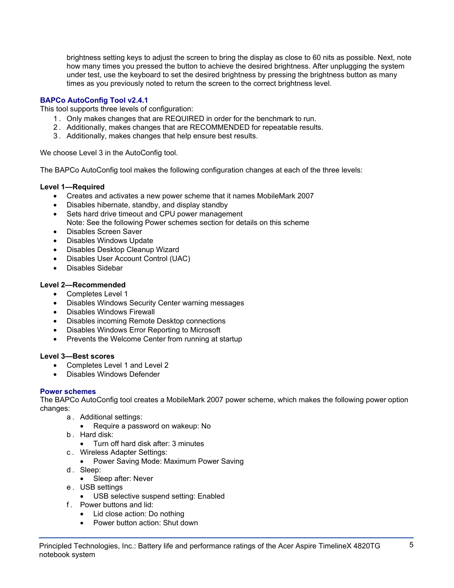brightness setting keys to adjust the screen to bring the display as close to 60 nits as possible. Next, note how many times you pressed the button to achieve the desired brightness. After unplugging the system under test, use the keyboard to set the desired brightness by pressing the brightness button as many times as you previously noted to return the screen to the correct brightness level.

## **BAPCo AutoConfig Tool v2.4.1**

This tool supports three levels of configuration:

- 1 . Only makes changes that are REQUIRED in order for the benchmark to run.
- 2 . Additionally, makes changes that are RECOMMENDED for repeatable results.
- 3 . Additionally, makes changes that help ensure best results.

We choose Level 3 in the AutoConfig tool.

The BAPCo AutoConfig tool makes the following configuration changes at each of the three levels:

## **Level 1—Required**

- Creates and activates a new power scheme that it names MobileMark 2007
- Disables hibernate, standby, and display standby
- Sets hard drive timeout and CPU power management Note: See the following Power schemes section for details on this scheme
- Disables Screen Saver
- Disables Windows Update
- Disables Desktop Cleanup Wizard
- Disables User Account Control (UAC)
- Disables Sidebar

## **Level 2—Recommended**

- Completes Level 1
- Disables Windows Security Center warning messages
- Disables Windows Firewall
- Disables incoming Remote Desktop connections
- Disables Windows Error Reporting to Microsoft
- Prevents the Welcome Center from running at startup

## **Level 3—Best scores**

- Completes Level 1 and Level 2
- Disables Windows Defender

## **Power schemes**

The BAPCo AutoConfig tool creates a MobileMark 2007 power scheme, which makes the following power option changes:

- a . Additional settings:
	- Require a password on wakeup: No
- b . Hard disk:
	- Turn off hard disk after: 3 minutes
- c . Wireless Adapter Settings:
	- Power Saving Mode: Maximum Power Saving
- d. Sleep:
	- Sleep after: Never
- e . USB settings
	- USB selective suspend setting: Enabled
- f . Power buttons and lid:
	- Lid close action: Do nothing
	- Power button action: Shut down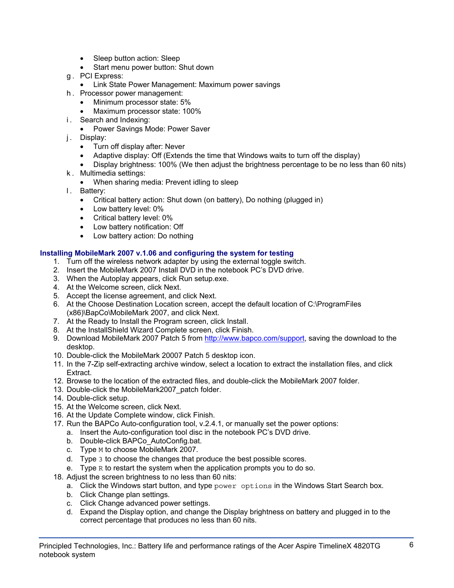- Sleep button action: Sleep
- Start menu power button: Shut down
- g . PCI Express:
	- Link State Power Management: Maximum power savings
- h . Processor power management:
	- Minimum processor state: 5%
	- Maximum processor state: 100%
- i. Search and Indexing:
	- Power Savings Mode: Power Saver
- j. Display:
	- Turn off display after: Never
	- Adaptive display: Off (Extends the time that Windows waits to turn off the display)
	- Display brightness: 100% (We then adjust the brightness percentage to be no less than 60 nits)
- k . Multimedia settings:
	- When sharing media: Prevent idling to sleep
- l. Battery:
	- Critical battery action: Shut down (on battery), Do nothing (plugged in)
	- Low battery level: 0%
	- Critical battery level: 0%
	- Low battery notification: Off
	- Low battery action: Do nothing

## **Installing MobileMark 2007 v.1.06 and configuring the system for testing**

- 1. Turn off the wireless network adapter by using the external toggle switch.
- 2. Insert the MobileMark 2007 Install DVD in the notebook PC's DVD drive.
- 3. When the Autoplay appears, click Run setup.exe.
- 4. At the Welcome screen, click Next.
- 5. Accept the license agreement, and click Next.
- 6. At the Choose Destination Location screen, accept the default location of C:\ProgramFiles (x86)\BapCo\MobileMark 2007, and click Next.
- 7. At the Ready to Install the Program screen, click Install.
- 8. At the InstallShield Wizard Complete screen, click Finish.
- 9. Download MobileMark 2007 Patch 5 from http://www.bapco.com/support, saving the download to the desktop.
- 10. Double-click the MobileMark 20007 Patch 5 desktop icon.
- 11. In the 7-Zip self-extracting archive window, select a location to extract the installation files, and click Extract.
- 12. Browse to the location of the extracted files, and double-click the MobileMark 2007 folder.
- 13. Double-click the MobileMark2007\_patch folder.
- 14. Double-click setup.
- 15. At the Welcome screen, click Next.
- 16. At the Update Complete window, click Finish.
- 17. Run the BAPCo Auto-configuration tool, v.2.4.1, or manually set the power options:
	- a. Insert the Auto-configuration tool disc in the notebook PC's DVD drive.
	- b. Double-click BAPCo\_AutoConfig.bat.
	- c. Type M to choose MobileMark 2007.
	- d. Type 3 to choose the changes that produce the best possible scores.
	- e. Type R to restart the system when the application prompts you to do so.
- 18. Adjust the screen brightness to no less than 60 nits:
	- a. Click the Windows start button, and type power options in the Windows Start Search box.
	- b. Click Change plan settings.
	- c. Click Change advanced power settings.
	- d. Expand the Display option, and change the Display brightness on battery and plugged in to the correct percentage that produces no less than 60 nits.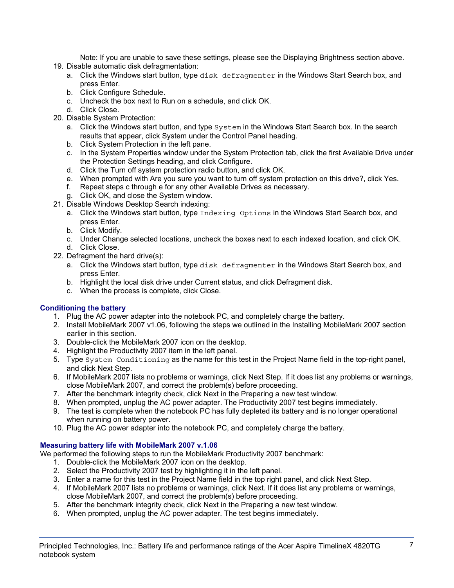Note: If you are unable to save these settings, please see the Displaying Brightness section above.

- 19. Disable automatic disk defragmentation:
	- a. Click the Windows start button, type disk defragmenter in the Windows Start Search box, and press Enter.
	- b. Click Configure Schedule.
	- c. Uncheck the box next to Run on a schedule, and click OK.
	- d. Click Close.
- 20. Disable System Protection:
	- a. Click the Windows start button, and type  $System$  in the Windows Start Search box. In the search results that appear, click System under the Control Panel heading.
	- b. Click System Protection in the left pane.
	- c. In the System Properties window under the System Protection tab, click the first Available Drive under the Protection Settings heading, and click Configure.
	- d. Click the Turn off system protection radio button, and click OK.
	- e. When prompted with Are you sure you want to turn off system protection on this drive?, click Yes.
	- f. Repeat steps c through e for any other Available Drives as necessary.
	- g. Click OK, and close the System window.
- 21. Disable Windows Desktop Search indexing:
	- a. Click the Windows start button, type Indexing Options in the Windows Start Search box, and press Enter.
	- b. Click Modify.
	- c. Under Change selected locations, uncheck the boxes next to each indexed location, and click OK. d. Click Close.
- 22. Defragment the hard drive(s):
	- a. Click the Windows start button, type disk defragmenter in the Windows Start Search box, and press Enter.
	- b. Highlight the local disk drive under Current status, and click Defragment disk.
	- c. When the process is complete, click Close.

## **Conditioning the battery**

- 1. Plug the AC power adapter into the notebook PC, and completely charge the battery.
- 2. Install MobileMark 2007 v1.06, following the steps we outlined in the Installing MobileMark 2007 section earlier in this section.
- 3. Double-click the MobileMark 2007 icon on the desktop.
- 4. Highlight the Productivity 2007 item in the left panel.
- 5. Type System Conditioning as the name for this test in the Project Name field in the top-right panel, and click Next Step.
- 6. If MobileMark 2007 lists no problems or warnings, click Next Step. If it does list any problems or warnings, close MobileMark 2007, and correct the problem(s) before proceeding.
- 7. After the benchmark integrity check, click Next in the Preparing a new test window.
- 8. When prompted, unplug the AC power adapter. The Productivity 2007 test begins immediately.
- 9. The test is complete when the notebook PC has fully depleted its battery and is no longer operational when running on battery power.
- 10. Plug the AC power adapter into the notebook PC, and completely charge the battery.

## **Measuring battery life with MobileMark 2007 v.1.06**

We performed the following steps to run the MobileMark Productivity 2007 benchmark:

- 1. Double-click the MobileMark 2007 icon on the desktop.
- 2. Select the Productivity 2007 test by highlighting it in the left panel.
- 3. Enter a name for this test in the Project Name field in the top right panel, and click Next Step.
- 4. If MobileMark 2007 lists no problems or warnings, click Next. If it does list any problems or warnings, close MobileMark 2007, and correct the problem(s) before proceeding.
- 5. After the benchmark integrity check, click Next in the Preparing a new test window.
- 6. When prompted, unplug the AC power adapter. The test begins immediately.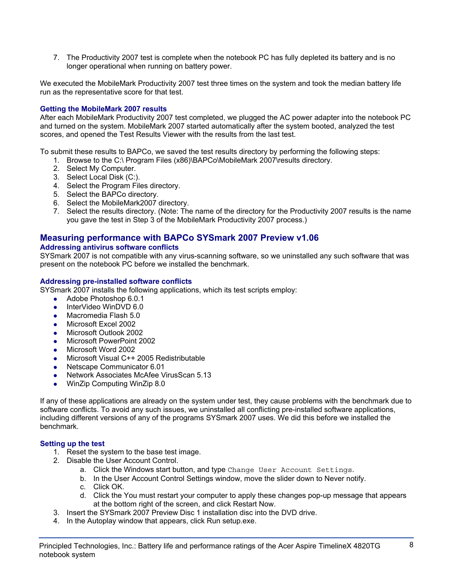7. The Productivity 2007 test is complete when the notebook PC has fully depleted its battery and is no longer operational when running on battery power.

We executed the MobileMark Productivity 2007 test three times on the system and took the median battery life run as the representative score for that test.

## **Getting the MobileMark 2007 results**

After each MobileMark Productivity 2007 test completed, we plugged the AC power adapter into the notebook PC and turned on the system. MobileMark 2007 started automatically after the system booted, analyzed the test scores, and opened the Test Results Viewer with the results from the last test.

To submit these results to BAPCo, we saved the test results directory by performing the following steps:

- 1. Browse to the C:\ Program Files (x86)\BAPCo\MobileMark 2007\results directory.
- 2. Select My Computer.
- 3. Select Local Disk (C:).
- 4. Select the Program Files directory.
- 5. Select the BAPCo directory.
- 6. Select the MobileMark2007 directory.
- 7. Select the results directory. (Note: The name of the directory for the Productivity 2007 results is the name you gave the test in Step 3 of the MobileMark Productivity 2007 process.)

## **Measuring performance with BAPCo SYSmark 2007 Preview v1.06**

## **Addressing antivirus software conflicts**

SYSmark 2007 is not compatible with any virus-scanning software, so we uninstalled any such software that was present on the notebook PC before we installed the benchmark.

#### **Addressing pre-installed software conflicts**

SYSmark 2007 installs the following applications, which its test scripts employ:

- $\bullet$  Adobe Photoshop 6.0.1
- InterVideo WinDVD 6.0
- Macromedia Flash 5.0
- Microsoft Excel 2002
- Microsoft Outlook 2002
- Microsoft PowerPoint 2002
- Microsoft Word 2002
- Microsoft Visual C++ 2005 Redistributable
- Netscape Communicator 6.01
- Network Associates McAfee VirusScan 5.13
- WinZip Computing WinZip 8.0

If any of these applications are already on the system under test, they cause problems with the benchmark due to software conflicts. To avoid any such issues, we uninstalled all conflicting pre-installed software applications, including different versions of any of the programs SYSmark 2007 uses. We did this before we installed the benchmark.

## **Setting up the test**

- 1. Reset the system to the base test image.
- 2. Disable the User Account Control.
	- a. Click the Windows start button, and type Change User Account Settings.
	- b. In the User Account Control Settings window, move the slider down to Never notify.
	- c. Click OK.
	- d. Click the You must restart your computer to apply these changes pop-up message that appears at the bottom right of the screen, and click Restart Now.
- 3. Insert the SYSmark 2007 Preview Disc 1 installation disc into the DVD drive.
- 4. In the Autoplay window that appears, click Run setup.exe.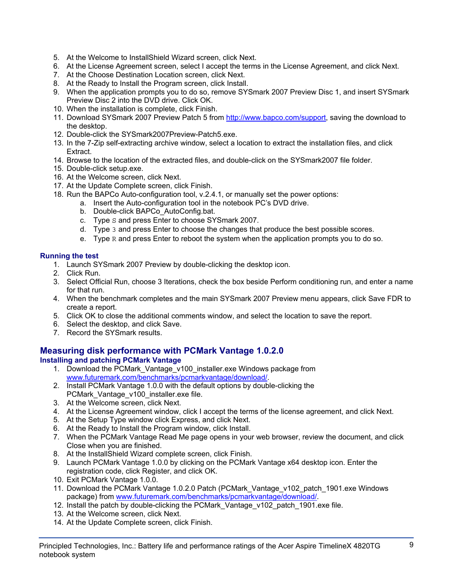- 5. At the Welcome to InstallShield Wizard screen, click Next.
- 6. At the License Agreement screen, select I accept the terms in the License Agreement, and click Next.
- 7. At the Choose Destination Location screen, click Next.
- 8. At the Ready to Install the Program screen, click Install.
- 9. When the application prompts you to do so, remove SYSmark 2007 Preview Disc 1, and insert SYSmark Preview Disc 2 into the DVD drive. Click OK.
- 10. When the installation is complete, click Finish.
- 11. Download SYSmark 2007 Preview Patch 5 from http://www.bapco.com/support, saving the download to the desktop.
- 12. Double-click the SYSmark2007Preview-Patch5.exe.
- 13. In the 7-Zip self-extracting archive window, select a location to extract the installation files, and click Extract.
- 14. Browse to the location of the extracted files, and double-click on the SYSmark2007 file folder.
- 15. Double-click setup.exe.
- 16. At the Welcome screen, click Next.
- 17. At the Update Complete screen, click Finish.
- 18. Run the BAPCo Auto-configuration tool, v.2.4.1, or manually set the power options:
	- a. Insert the Auto-configuration tool in the notebook PC's DVD drive.
		- b. Double-click BAPCo\_AutoConfig.bat.
		- c. Type S and press Enter to choose SYSmark 2007.
		- d. Type 3 and press Enter to choose the changes that produce the best possible scores.
		- e. Type R and press Enter to reboot the system when the application prompts you to do so.

## **Running the test**

- 1. Launch SYSmark 2007 Preview by double-clicking the desktop icon.
- 2. Click Run.
- 3. Select Official Run, choose 3 Iterations, check the box beside Perform conditioning run, and enter a name for that run.
- 4. When the benchmark completes and the main SYSmark 2007 Preview menu appears, click Save FDR to create a report.
- 5. Click OK to close the additional comments window, and select the location to save the report.
- 6. Select the desktop, and click Save.
- 7. Record the SYSmark results.

## **Measuring disk performance with PCMark Vantage 1.0.2.0**

## **Installing and patching PCMark Vantage**

- 1. Download the PCMark\_Vantage\_v100\_installer.exe Windows package from www.futuremark.com/benchmarks/pcmarkvantage/download/.
- 2. Install PCMark Vantage 1.0.0 with the default options by double-clicking the PCMark\_Vantage\_v100\_installer.exe file.
- 3. At the Welcome screen, click Next.
- 4. At the License Agreement window, click I accept the terms of the license agreement, and click Next.
- 5. At the Setup Type window click Express, and click Next.
- 6. At the Ready to Install the Program window, click Install.
- 7. When the PCMark Vantage Read Me page opens in your web browser, review the document, and click Close when you are finished.
- 8. At the InstallShield Wizard complete screen, click Finish.
- 9. Launch PCMark Vantage 1.0.0 by clicking on the PCMark Vantage x64 desktop icon. Enter the registration code, click Register, and click OK.
- 10. Exit PCMark Vantage 1.0.0.
- 11. Download the PCMark Vantage 1.0.2.0 Patch (PCMark\_Vantage\_v102\_patch\_1901.exe Windows package) from www.futuremark.com/benchmarks/pcmarkvantage/download/.
- 12. Install the patch by double-clicking the PCMark Vantage v102 patch 1901.exe file.
- 13. At the Welcome screen, click Next.
- 14. At the Update Complete screen, click Finish.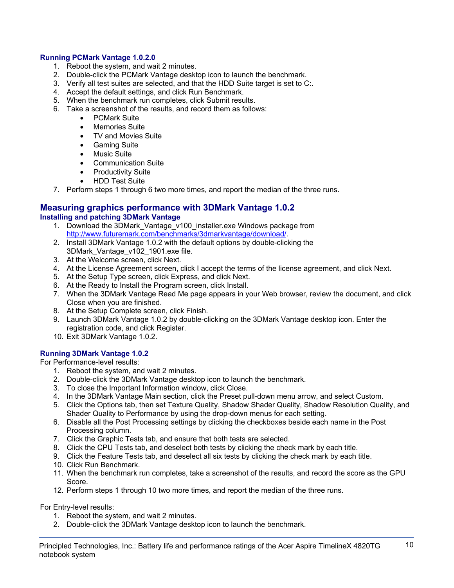## **Running PCMark Vantage 1.0.2.0**

- 1. Reboot the system, and wait 2 minutes.
- 2. Double-click the PCMark Vantage desktop icon to launch the benchmark.
- 3. Verify all test suites are selected, and that the HDD Suite target is set to C:.
- 4. Accept the default settings, and click Run Benchmark.
- 5. When the benchmark run completes, click Submit results.
- 6. Take a screenshot of the results, and record them as follows:
	- PCMark Suite
	- Memories Suite
	- TV and Movies Suite
	- Gaming Suite
	- Music Suite
	- Communication Suite
	- Productivity Suite
	- HDD Test Suite
- 7. Perform steps 1 through 6 two more times, and report the median of the three runs.

#### **Measuring graphics performance with 3DMark Vantage 1.0.2 Installing and patching 3DMark Vantage**

- 1. Download the 3DMark\_Vantage\_v100\_installer.exe Windows package from http://www.futuremark.com/benchmarks/3dmarkvantage/download/.
- 2. Install 3DMark Vantage 1.0.2 with the default options by double-clicking the 3DMark\_Vantage\_v102\_1901.exe file.
- 3. At the Welcome screen, click Next.
- 4. At the License Agreement screen, click I accept the terms of the license agreement, and click Next.
- 5. At the Setup Type screen, click Express, and click Next.
- 6. At the Ready to Install the Program screen, click Install.
- 7. When the 3DMark Vantage Read Me page appears in your Web browser, review the document, and click Close when you are finished.
- 8. At the Setup Complete screen, click Finish.
- 9. Launch 3DMark Vantage 1.0.2 by double-clicking on the 3DMark Vantage desktop icon. Enter the registration code, and click Register.
- 10. Exit 3DMark Vantage 1.0.2.

## **Running 3DMark Vantage 1.0.2**

For Performance-level results:

- 1. Reboot the system, and wait 2 minutes.
- 2. Double-click the 3DMark Vantage desktop icon to launch the benchmark.
- 3. To close the Important Information window, click Close.
- 4. In the 3DMark Vantage Main section, click the Preset pull-down menu arrow, and select Custom.
- 5. Click the Options tab, then set Texture Quality, Shadow Shader Quality, Shadow Resolution Quality, and Shader Quality to Performance by using the drop-down menus for each setting.
- 6. Disable all the Post Processing settings by clicking the checkboxes beside each name in the Post Processing column.
- 7. Click the Graphic Tests tab, and ensure that both tests are selected.
- 8. Click the CPU Tests tab, and deselect both tests by clicking the check mark by each title.
- 9. Click the Feature Tests tab, and deselect all six tests by clicking the check mark by each title.
- 10. Click Run Benchmark.
- 11. When the benchmark run completes, take a screenshot of the results, and record the score as the GPU Score.
- 12. Perform steps 1 through 10 two more times, and report the median of the three runs.

For Entry-level results:

- 1. Reboot the system, and wait 2 minutes.
- 2. Double-click the 3DMark Vantage desktop icon to launch the benchmark.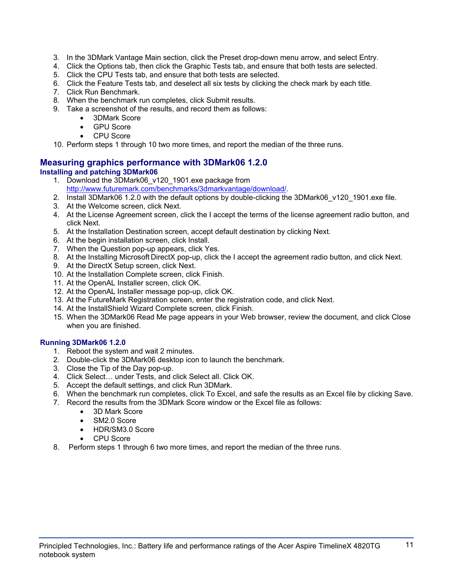- 3. In the 3DMark Vantage Main section, click the Preset drop-down menu arrow, and select Entry.
- 4. Click the Options tab, then click the Graphic Tests tab, and ensure that both tests are selected.
- 5. Click the CPU Tests tab, and ensure that both tests are selected.
- 6. Click the Feature Tests tab, and deselect all six tests by clicking the check mark by each title.
- 7. Click Run Benchmark.
- 8. When the benchmark run completes, click Submit results.
- 9. Take a screenshot of the results, and record them as follows:
	- 3DMark Score
	- **GPU Score**
	- CPU Score

10. Perform steps 1 through 10 two more times, and report the median of the three runs.

## **Measuring graphics performance with 3DMark06 1.2.0 Installing and patching 3DMark06**

- 1. Download the 3DMark06\_v120\_1901.exe package from http://www.futuremark.com/benchmarks/3dmarkvantage/download/.
- 2. Install 3DMark06 1.2.0 with the default options by double-clicking the 3DMark06 v120 1901.exe file.
- 3. At the Welcome screen, click Next.
- 4. At the License Agreement screen, click the I accept the terms of the license agreement radio button, and click Next.
- 5. At the Installation Destination screen, accept default destination by clicking Next.
- 6. At the begin installation screen, click Install.
- 7. When the Question pop-up appears, click Yes.
- 8. At the Installing Microsoft DirectX pop-up, click the I accept the agreement radio button, and click Next.
- 9. At the DirectX Setup screen, click Next.
- 10. At the Installation Complete screen, click Finish.
- 11. At the OpenAL Installer screen, click OK.
- 12. At the OpenAL Installer message pop-up, click OK.
- 13. At the FutureMark Registration screen, enter the registration code, and click Next.
- 14. At the InstallShield Wizard Complete screen, click Finish.
- 15. When the 3DMark06 Read Me page appears in your Web browser, review the document, and click Close when you are finished.

## **Running 3DMark06 1.2.0**

- 1. Reboot the system and wait 2 minutes.
- 2. Double-click the 3DMark06 desktop icon to launch the benchmark.
- 3. Close the Tip of the Day pop-up.
- 4. Click Select… under Tests, and click Select all. Click OK.
- 5. Accept the default settings, and click Run 3DMark.
- 6. When the benchmark run completes, click To Excel, and safe the results as an Excel file by clicking Save.
- 7. Record the results from the 3DMark Score window or the Excel file as follows:
	- 3D Mark Score
	- SM2.0 Score
	- HDR/SM3.0 Score
	- CPU Score
- 8. Perform steps 1 through 6 two more times, and report the median of the three runs.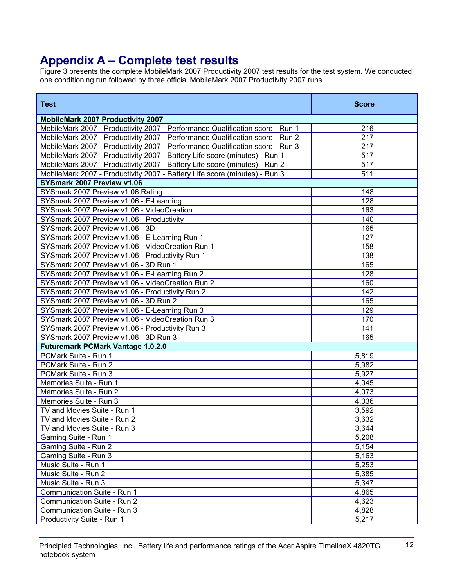## **Appendix A – Complete test results**

Figure 3 presents the complete MobileMark 2007 Productivity 2007 test results for the test system. We conducted one conditioning run followed by three official MobileMark 2007 Productivity 2007 runs.

| <b>Test</b>                                                                   | <b>Score</b> |
|-------------------------------------------------------------------------------|--------------|
| <b>MobileMark 2007 Productivity 2007</b>                                      |              |
| MobileMark 2007 - Productivity 2007 - Performance Qualification score - Run 1 | 216          |
| MobileMark 2007 - Productivity 2007 - Performance Qualification score - Run 2 | 217          |
| MobileMark 2007 - Productivity 2007 - Performance Qualification score - Run 3 | 217          |
| MobileMark 2007 - Productivity 2007 - Battery Life score (minutes) - Run 1    | 517          |
| MobileMark 2007 - Productivity 2007 - Battery Life score (minutes) - Run 2    | 517          |
| MobileMark 2007 - Productivity 2007 - Battery Life score (minutes) - Run 3    | 511          |
| SYSmark 2007 Preview v1.06                                                    |              |
| SYSmark 2007 Preview v1.06 Rating                                             | 148          |
| SYSmark 2007 Preview v1.06 - E-Learning                                       | 128          |
| SYSmark 2007 Preview v1.06 - VideoCreation                                    | 163          |
| SYSmark 2007 Preview v1.06 - Productivity                                     | 140          |
| SYSmark 2007 Preview v1.06 - 3D                                               | 165          |
| SYSmark 2007 Preview v1.06 - E-Learning Run 1                                 | 127          |
| SYSmark 2007 Preview v1.06 - VideoCreation Run 1                              | 158          |
| SYSmark 2007 Preview v1.06 - Productivity Run 1                               | 138          |
| SYSmark 2007 Preview v1.06 - 3D Run 1                                         | 165          |
| SYSmark 2007 Preview v1.06 - E-Learning Run 2                                 | 128          |
| SYSmark 2007 Preview v1.06 - VideoCreation Run 2                              | 160          |
| SYSmark 2007 Preview v1.06 - Productivity Run 2                               | 142          |
| SYSmark 2007 Preview v1.06 - 3D Run 2                                         | 165          |
| SYSmark 2007 Preview v1.06 - E-Learning Run 3                                 | 129          |
| SYSmark 2007 Preview v1.06 - VideoCreation Run 3                              | 170          |
| SYSmark 2007 Preview v1.06 - Productivity Run 3                               | 141          |
| SYSmark 2007 Preview v1.06 - 3D Run 3                                         | 165          |
| <b>Futuremark PCMark Vantage 1.0.2.0</b>                                      |              |
| PCMark Suite - Run 1                                                          | 5,819        |
| PCMark Suite - Run 2                                                          | 5,982        |
| PCMark Suite - Run 3                                                          | 5,927        |
| Memories Suite - Run 1                                                        | 4,045        |
| Memories Suite - Run 2                                                        | 4,073        |
| Memories Suite - Run 3                                                        | 4,036        |
| TV and Movies Suite - Run 1                                                   | 3,592        |
| TV and Movies Suite - Run 2                                                   | 3,632        |
| TV and Movies Suite - Run 3                                                   | 3,644        |
| Gaming Suite - Run 1                                                          | 5,208        |
| Gaming Suite - Run 2                                                          | 5,154        |
| Gaming Suite - Run 3                                                          | 5,163        |
| Music Suite - Run 1                                                           | 5,253        |
| Music Suite - Run 2                                                           | 5,385        |
| Music Suite - Run 3                                                           | 5,347        |
| Communication Suite - Run 1                                                   | 4,865        |
| Communication Suite - Run 2                                                   | 4,623        |
| Communication Suite - Run 3                                                   | 4,828        |
| Productivity Suite - Run 1                                                    | 5,217        |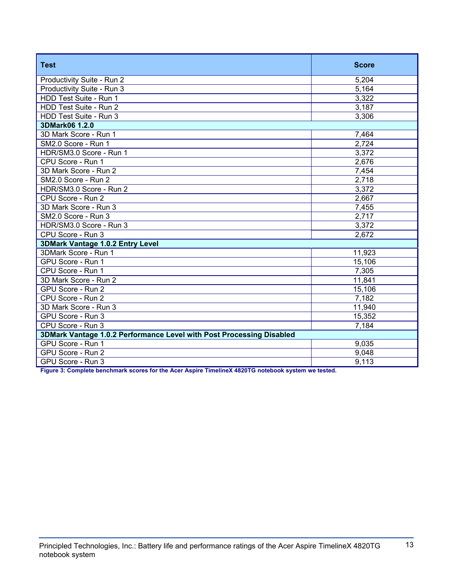| <b>Test</b>                                                          | <b>Score</b> |  |
|----------------------------------------------------------------------|--------------|--|
| Productivity Suite - Run 2                                           | 5,204        |  |
| Productivity Suite - Run 3                                           | 5,164        |  |
| HDD Test Suite - Run 1                                               | 3,322        |  |
| HDD Test Suite - Run 2                                               | 3,187        |  |
| HDD Test Suite - Run 3                                               | 3,306        |  |
| 3DMark06 1.2.0                                                       |              |  |
| 3D Mark Score - Run 1                                                | 7,464        |  |
| SM2.0 Score - Run 1                                                  | 2,724        |  |
| HDR/SM3.0 Score - Run 1                                              | 3,372        |  |
| CPU Score - Run 1                                                    | 2,676        |  |
| 3D Mark Score - Run 2                                                | 7,454        |  |
| SM2.0 Score - Run 2                                                  | 2,718        |  |
| HDR/SM3.0 Score - Run 2                                              | 3,372        |  |
| CPU Score - Run 2                                                    | 2,667        |  |
| 3D Mark Score - Run 3                                                | 7,455        |  |
| SM2.0 Score - Run 3                                                  | 2,717        |  |
| HDR/SM3.0 Score - Run 3                                              | 3,372        |  |
| CPU Score - Run 3                                                    | 2,672        |  |
| 3DMark Vantage 1.0.2 Entry Level                                     |              |  |
| 3DMark Score - Run 1                                                 | 11,923       |  |
| GPU Score - Run 1                                                    | 15,106       |  |
| CPU Score - Run 1                                                    | 7,305        |  |
| 3D Mark Score - Run 2                                                | 11,841       |  |
| GPU Score - Run 2                                                    | 15,106       |  |
| CPU Score - Run 2                                                    | 7,182        |  |
| 3D Mark Score - Run 3                                                | 11,940       |  |
| GPU Score - Run 3                                                    | 15,352       |  |
| CPU Score - Run 3                                                    | 7,184        |  |
| 3DMark Vantage 1.0.2 Performance Level with Post Processing Disabled |              |  |
| GPU Score - Run 1                                                    | 9,035        |  |
| GPU Score - Run 2                                                    | 9,048        |  |
| GPU Score - Run 3                                                    | 9,113        |  |

**Figure 3: Complete benchmark scores for the Acer Aspire TimelineX 4820TG notebook system we tested.**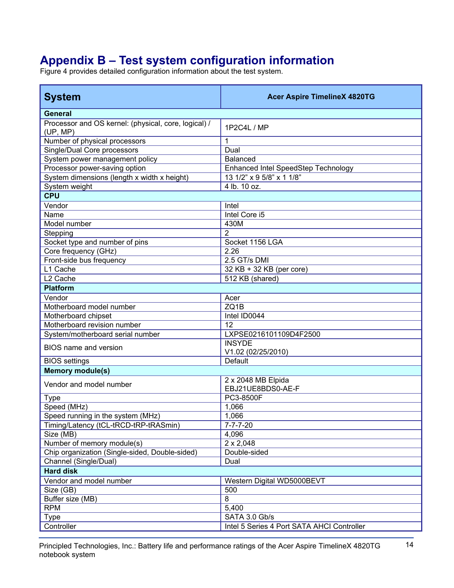# **Appendix B – Test system configuration information**

Figure 4 provides detailed configuration information about the test system.

| <b>System</b>                                                    | <b>Acer Aspire TimelineX 4820TG</b>        |  |
|------------------------------------------------------------------|--------------------------------------------|--|
| <b>General</b>                                                   |                                            |  |
| Processor and OS kernel: (physical, core, logical) /<br>(UP, MP) | 1P2C4L / MP                                |  |
| Number of physical processors                                    | 1                                          |  |
| Single/Dual Core processors                                      | Dual                                       |  |
| System power management policy                                   | <b>Balanced</b>                            |  |
| Processor power-saving option                                    | Enhanced Intel SpeedStep Technology        |  |
| System dimensions (length x width x height)                      | 13 1/2" x 9 5/8" x 1 1/8"                  |  |
| System weight                                                    | 4 lb. 10 oz.                               |  |
| <b>CPU</b>                                                       |                                            |  |
| Vendor                                                           | Intel                                      |  |
| Name                                                             | Intel Core i5                              |  |
| Model number                                                     | 430M                                       |  |
| Stepping                                                         | $\overline{2}$                             |  |
| Socket type and number of pins                                   | Socket 1156 LGA                            |  |
| Core frequency (GHz)                                             | 2.26                                       |  |
| Front-side bus frequency                                         | 2.5 GT/s DMI                               |  |
| L1 Cache                                                         | 32 KB + 32 KB (per core)                   |  |
| L <sub>2</sub> Cache                                             | 512 KB (shared)                            |  |
| <b>Platform</b>                                                  |                                            |  |
| Vendor                                                           | Acer                                       |  |
| Motherboard model number                                         | ZQ1B                                       |  |
| Motherboard chipset                                              | Intel ID0044                               |  |
| Motherboard revision number                                      | 12                                         |  |
| System/motherboard serial number                                 | LXPSE0216101109D4F2500                     |  |
| <b>BIOS</b> name and version                                     | <b>INSYDE</b><br>V1.02 (02/25/2010)        |  |
| <b>BIOS</b> settings                                             | Default                                    |  |
| <b>Memory module(s)</b>                                          |                                            |  |
| Vendor and model number                                          | 2 x 2048 MB Elpida<br>EBJ21UE8BDS0-AE-F    |  |
| <b>Type</b>                                                      | PC3-8500F                                  |  |
| Speed (MHz)                                                      | 1,066                                      |  |
| Speed running in the system (MHz)                                | 1,066                                      |  |
| Timing/Latency (tCL-tRCD-tRP-tRASmin)                            | $7 - 7 - 7 - 20$                           |  |
| Size (MB)                                                        | 4,096                                      |  |
| Number of memory module(s)                                       | $2 \times 2,048$                           |  |
| Chip organization (Single-sided, Double-sided)                   | Double-sided                               |  |
| Channel (Single/Dual)                                            | Dual                                       |  |
| <b>Hard disk</b>                                                 |                                            |  |
| Vendor and model number                                          | Western Digital WD5000BEVT                 |  |
| Size (GB)                                                        | 500                                        |  |
| Buffer size (MB)                                                 | 8                                          |  |
| <b>RPM</b>                                                       | 5,400                                      |  |
| <b>Type</b>                                                      | SATA 3.0 Gb/s                              |  |
| Controller                                                       | Intel 5 Series 4 Port SATA AHCI Controller |  |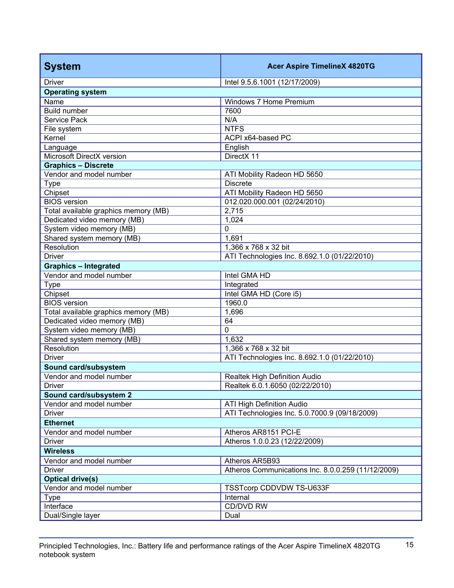| <b>System</b>                        | <b>Acer Aspire TimelineX 4820TG</b>                |  |
|--------------------------------------|----------------------------------------------------|--|
| <b>Driver</b>                        | Intel 9.5.6.1001 (12/17/2009)                      |  |
| <b>Operating system</b>              |                                                    |  |
| Name                                 | Windows 7 Home Premium                             |  |
| <b>Build number</b>                  | 7600                                               |  |
| Service Pack                         | N/A                                                |  |
| File system                          | <b>NTFS</b>                                        |  |
| Kernel                               | ACPI x64-based PC                                  |  |
| Language                             | English                                            |  |
| Microsoft DirectX version            | DirectX 11                                         |  |
| <b>Graphics - Discrete</b>           |                                                    |  |
| Vendor and model number              | ATI Mobility Radeon HD 5650                        |  |
| <b>Type</b>                          | <b>Discrete</b>                                    |  |
| Chipset                              | ATI Mobility Radeon HD 5650                        |  |
| <b>BIOS</b> version                  | 012.020.000.001 (02/24/2010)                       |  |
| Total available graphics memory (MB) | 2,715                                              |  |
| Dedicated video memory (MB)          | 1,024                                              |  |
| System video memory (MB)             | 0                                                  |  |
| Shared system memory (MB)            | 1,691                                              |  |
| Resolution                           | 1,366 x 768 x 32 bit                               |  |
| <b>Driver</b>                        | ATI Technologies Inc. 8.692.1.0 (01/22/2010)       |  |
| <b>Graphics - Integrated</b>         |                                                    |  |
| Vendor and model number              | Intel GMA HD                                       |  |
| <b>Type</b>                          | Integrated                                         |  |
| Chipset                              | Intel GMA HD (Core i5)                             |  |
| <b>BIOS</b> version                  | 1960.0                                             |  |
| Total available graphics memory (MB) | 1,696                                              |  |
| Dedicated video memory (MB)          | 64                                                 |  |
| System video memory (MB)             | $\overline{0}$                                     |  |
| Shared system memory (MB)            | 1,632                                              |  |
| Resolution                           | 1,366 x 768 x 32 bit                               |  |
| <b>Driver</b>                        | ATI Technologies Inc. 8.692.1.0 (01/22/2010)       |  |
| Sound card/subsystem                 |                                                    |  |
| Vendor and model number              | Realtek High Definition Audio                      |  |
| <b>Driver</b>                        | Realtek 6.0.1.6050 (02/22/2010)                    |  |
| Sound card/subsystem 2               |                                                    |  |
| Vendor and model number              | ATI High Definition Audio                          |  |
| <b>Driver</b>                        | ATI Technologies Inc. 5.0.7000.9 (09/18/2009)      |  |
| <b>Ethernet</b>                      |                                                    |  |
| Vendor and model number              | Atheros AR8151 PCI-E                               |  |
| <b>Driver</b>                        | Atheros 1.0.0.23 (12/22/2009)                      |  |
| <b>Wireless</b>                      |                                                    |  |
| Vendor and model number              | Atheros AR5B93                                     |  |
| <b>Driver</b>                        | Atheros Communications Inc. 8.0.0.259 (11/12/2009) |  |
| <b>Optical drive(s)</b>              |                                                    |  |
| Vendor and model number              | TSSTcorp CDDVDW TS-U633F                           |  |
| <b>Type</b>                          | Internal                                           |  |
| Interface                            | CD/DVD RW                                          |  |
| Dual/Single layer                    | Dual                                               |  |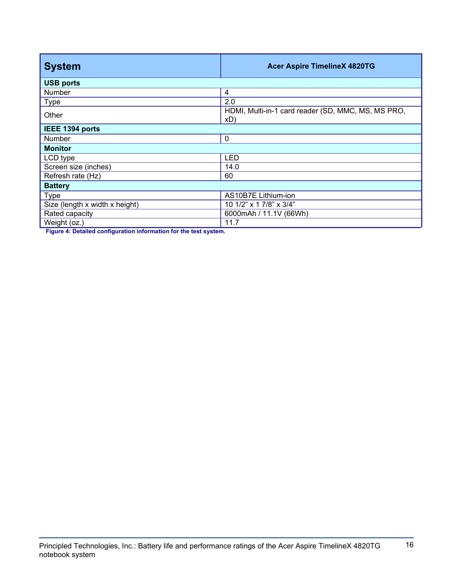| <b>System</b>                  | <b>Acer Aspire TimelineX 4820TG</b>                       |  |
|--------------------------------|-----------------------------------------------------------|--|
| <b>USB ports</b>               |                                                           |  |
| Number                         | 4                                                         |  |
| <b>Type</b>                    | 2.0                                                       |  |
| Other                          | HDMI, Multi-in-1 card reader (SD, MMC, MS, MS PRO,<br>xD) |  |
| IEEE 1394 ports                |                                                           |  |
| <b>Number</b>                  | $\mathbf 0$                                               |  |
| <b>Monitor</b>                 |                                                           |  |
| LCD type                       | <b>LED</b>                                                |  |
| Screen size (inches)           | 14.0                                                      |  |
| Refresh rate (Hz)              | 60                                                        |  |
| <b>Battery</b>                 |                                                           |  |
| <b>Type</b>                    | AS10B7E Lithium-ion                                       |  |
| Size (length x width x height) | 10 1/2" x 1 7/8" x 3/4"                                   |  |
| Rated capacity                 | 6000mAh / 11.1V (66Wh)                                    |  |
| Weight (oz.)                   | 11.7                                                      |  |

**Figure 4: Detailed configuration information for the test system.**